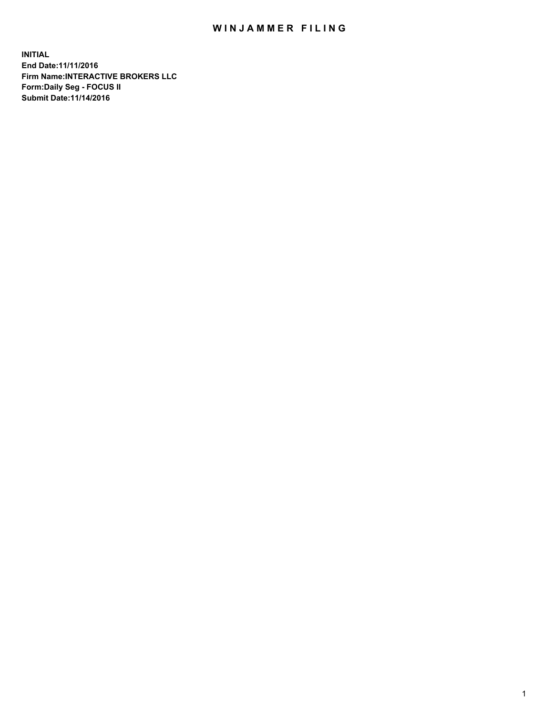## WIN JAMMER FILING

**INITIAL End Date:11/11/2016 Firm Name:INTERACTIVE BROKERS LLC Form:Daily Seg - FOCUS II Submit Date:11/14/2016**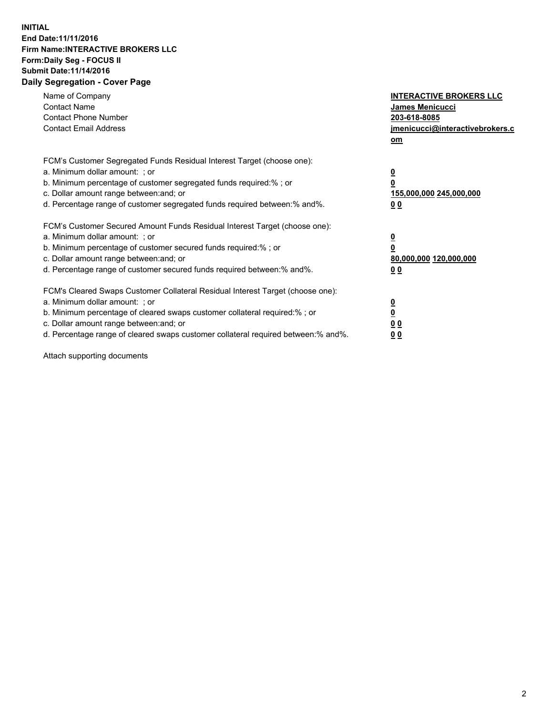## **INITIAL End Date:11/11/2016 Firm Name:INTERACTIVE BROKERS LLC Form:Daily Seg - FOCUS II Submit Date:11/14/2016 Daily Segregation - Cover Page**

| Name of Company<br><b>Contact Name</b><br><b>Contact Phone Number</b><br><b>Contact Email Address</b>                                                                                                                                                                                                                          | <b>INTERACTIVE BROKERS LLC</b><br><b>James Menicucci</b><br>203-618-8085<br>jmenicucci@interactivebrokers.c<br>om |
|--------------------------------------------------------------------------------------------------------------------------------------------------------------------------------------------------------------------------------------------------------------------------------------------------------------------------------|-------------------------------------------------------------------------------------------------------------------|
| FCM's Customer Segregated Funds Residual Interest Target (choose one):<br>a. Minimum dollar amount: ; or<br>b. Minimum percentage of customer segregated funds required:%; or<br>c. Dollar amount range between: and; or<br>d. Percentage range of customer segregated funds required between:% and%.                          | $\overline{\mathbf{0}}$<br>0<br>155,000,000 245,000,000<br>0 <sub>0</sub>                                         |
| FCM's Customer Secured Amount Funds Residual Interest Target (choose one):<br>a. Minimum dollar amount: ; or<br>b. Minimum percentage of customer secured funds required:%; or<br>c. Dollar amount range between: and; or<br>d. Percentage range of customer secured funds required between: % and %.                          | $\overline{\mathbf{0}}$<br>0<br>80,000,000 120,000,000<br>00                                                      |
| FCM's Cleared Swaps Customer Collateral Residual Interest Target (choose one):<br>a. Minimum dollar amount: ; or<br>b. Minimum percentage of cleared swaps customer collateral required:% ; or<br>c. Dollar amount range between: and; or<br>d. Percentage range of cleared swaps customer collateral required between:% and%. | $\overline{\mathbf{0}}$<br>$\overline{\mathbf{0}}$<br>0 <sub>0</sub><br><u>00</u>                                 |

Attach supporting documents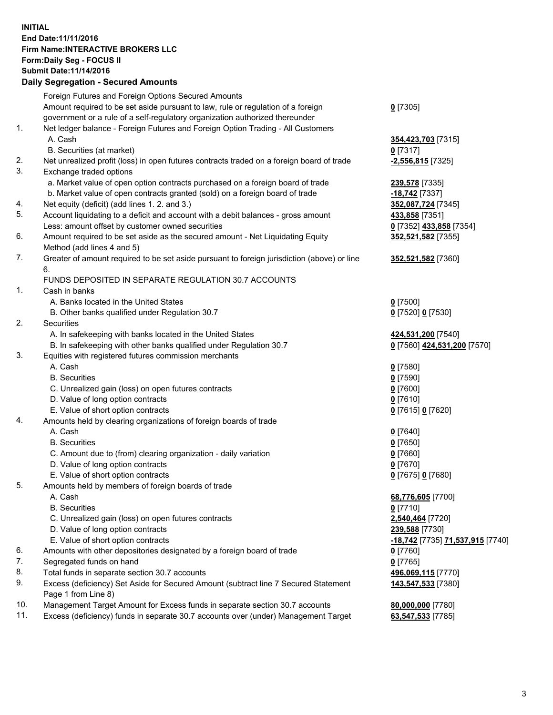## **INITIAL End Date:11/11/2016 Firm Name:INTERACTIVE BROKERS LLC Form:Daily Seg - FOCUS II Submit Date:11/14/2016 Daily Segregation - Secured Amounts**

|     | Dany Ocgregation - Oceaned Announts                                                         |                                  |
|-----|---------------------------------------------------------------------------------------------|----------------------------------|
|     | Foreign Futures and Foreign Options Secured Amounts                                         |                                  |
|     | Amount required to be set aside pursuant to law, rule or regulation of a foreign            | $0$ [7305]                       |
|     | government or a rule of a self-regulatory organization authorized thereunder                |                                  |
| 1.  | Net ledger balance - Foreign Futures and Foreign Option Trading - All Customers             |                                  |
|     | A. Cash                                                                                     | 354,423,703 [7315]               |
|     | B. Securities (at market)                                                                   | $0$ [7317]                       |
| 2.  | Net unrealized profit (loss) in open futures contracts traded on a foreign board of trade   | $-2,556,815$ [7325]              |
| 3.  | Exchange traded options                                                                     |                                  |
|     | a. Market value of open option contracts purchased on a foreign board of trade              | 239,578 [7335]                   |
|     | b. Market value of open contracts granted (sold) on a foreign board of trade                | -18,742 [7337]                   |
| 4.  | Net equity (deficit) (add lines 1.2. and 3.)                                                | 352,087,724 [7345]               |
| 5.  | Account liquidating to a deficit and account with a debit balances - gross amount           | 433,858 [7351]                   |
|     | Less: amount offset by customer owned securities                                            | 0 [7352] 433,858 [7354]          |
| 6.  | Amount required to be set aside as the secured amount - Net Liquidating Equity              | 352,521,582 [7355]               |
|     | Method (add lines 4 and 5)                                                                  |                                  |
| 7.  |                                                                                             |                                  |
|     | Greater of amount required to be set aside pursuant to foreign jurisdiction (above) or line | 352,521,582 [7360]               |
|     | 6.                                                                                          |                                  |
|     | FUNDS DEPOSITED IN SEPARATE REGULATION 30.7 ACCOUNTS                                        |                                  |
| 1.  | Cash in banks                                                                               |                                  |
|     | A. Banks located in the United States                                                       | $0$ [7500]                       |
|     | B. Other banks qualified under Regulation 30.7                                              | 0 [7520] 0 [7530]                |
| 2.  | Securities                                                                                  |                                  |
|     | A. In safekeeping with banks located in the United States                                   | 424,531,200 [7540]               |
|     | B. In safekeeping with other banks qualified under Regulation 30.7                          | 0 [7560] 424,531,200 [7570]      |
| 3.  | Equities with registered futures commission merchants                                       |                                  |
|     | A. Cash                                                                                     | $0$ [7580]                       |
|     | <b>B.</b> Securities                                                                        | $0$ [7590]                       |
|     | C. Unrealized gain (loss) on open futures contracts                                         | $0$ [7600]                       |
|     | D. Value of long option contracts                                                           | $0$ [7610]                       |
|     | E. Value of short option contracts                                                          | 0 [7615] 0 [7620]                |
| 4.  | Amounts held by clearing organizations of foreign boards of trade                           |                                  |
|     | A. Cash                                                                                     | $0$ [7640]                       |
|     | <b>B.</b> Securities                                                                        | $0$ [7650]                       |
|     | C. Amount due to (from) clearing organization - daily variation                             | $0$ [7660]                       |
|     | D. Value of long option contracts                                                           | $0$ [7670]                       |
|     | E. Value of short option contracts                                                          | 0 [7675] 0 [7680]                |
| 5.  | Amounts held by members of foreign boards of trade                                          |                                  |
|     | A. Cash                                                                                     | 68,776,605 [7700]                |
|     | <b>B.</b> Securities                                                                        | $0$ [7710]                       |
|     | C. Unrealized gain (loss) on open futures contracts                                         | 2,540,464 [7720]                 |
|     | D. Value of long option contracts                                                           | 239,588 [7730]                   |
|     | E. Value of short option contracts                                                          | -18,742 [7735] 71,537,915 [7740] |
| 6.  | Amounts with other depositories designated by a foreign board of trade                      | $0$ [7760]                       |
| 7.  | Segregated funds on hand                                                                    | $0$ [7765]                       |
| 8.  | Total funds in separate section 30.7 accounts                                               | 496,069,115 [7770]               |
| 9.  | Excess (deficiency) Set Aside for Secured Amount (subtract line 7 Secured Statement         | 143,547,533 [7380]               |
|     | Page 1 from Line 8)                                                                         |                                  |
| 10. | Management Target Amount for Excess funds in separate section 30.7 accounts                 | 80,000,000 [7780]                |
| 11. | Excess (deficiency) funds in separate 30.7 accounts over (under) Management Target          | 63,547,533 [7785]                |
|     |                                                                                             |                                  |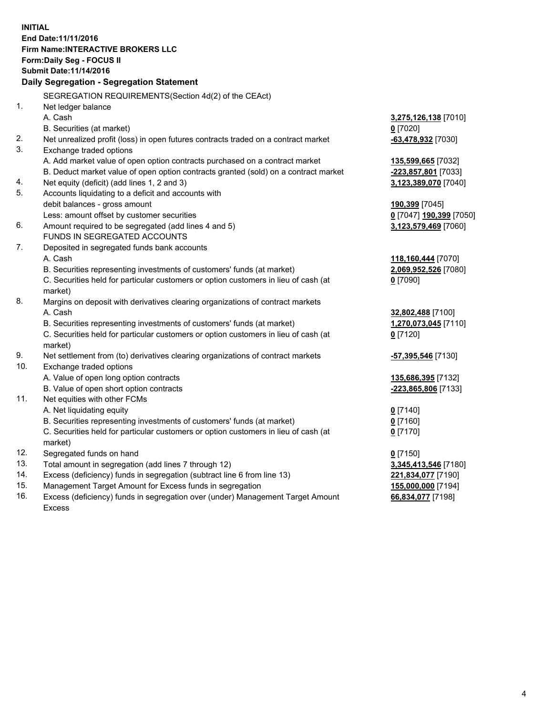**INITIAL End Date:11/11/2016 Firm Name:INTERACTIVE BROKERS LLC Form:Daily Seg - FOCUS II Submit Date:11/14/2016 Daily Segregation - Segregation Statement** SEGREGATION REQUIREMENTS(Section 4d(2) of the CEAct) 1. Net ledger balance A. Cash **3,275,126,138** [7010] B. Securities (at market) **0** [7020] 2. Net unrealized profit (loss) in open futures contracts traded on a contract market **-63,478,932** [7030] 3. Exchange traded options A. Add market value of open option contracts purchased on a contract market **135,599,665** [7032] B. Deduct market value of open option contracts granted (sold) on a contract market **-223,857,801** [7033] 4. Net equity (deficit) (add lines 1, 2 and 3) **3,123,389,070** [7040] 5. Accounts liquidating to a deficit and accounts with debit balances - gross amount **190,399** [7045] Less: amount offset by customer securities **0** [7047] **190,399** [7050] 6. Amount required to be segregated (add lines 4 and 5) **3,123,579,469** [7060] FUNDS IN SEGREGATED ACCOUNTS 7. Deposited in segregated funds bank accounts A. Cash **118,160,444** [7070] B. Securities representing investments of customers' funds (at market) **2,069,952,526** [7080] C. Securities held for particular customers or option customers in lieu of cash (at market) **0** [7090] 8. Margins on deposit with derivatives clearing organizations of contract markets A. Cash **32,802,488** [7100] B. Securities representing investments of customers' funds (at market) **1,270,073,045** [7110] C. Securities held for particular customers or option customers in lieu of cash (at market) **0** [7120] 9. Net settlement from (to) derivatives clearing organizations of contract markets **-57,395,546** [7130] 10. Exchange traded options A. Value of open long option contracts **135,686,395** [7132] B. Value of open short option contracts **-223,865,806** [7133] 11. Net equities with other FCMs A. Net liquidating equity **0** [7140] B. Securities representing investments of customers' funds (at market) **0** [7160] C. Securities held for particular customers or option customers in lieu of cash (at market) **0** [7170] 12. Segregated funds on hand **0** [7150] 13. Total amount in segregation (add lines 7 through 12) **3,345,413,546** [7180] 14. Excess (deficiency) funds in segregation (subtract line 6 from line 13) **221,834,077** [7190] 15. Management Target Amount for Excess funds in segregation **155,000,000** [7194] **66,834,077** [7198]

16. Excess (deficiency) funds in segregation over (under) Management Target Amount Excess